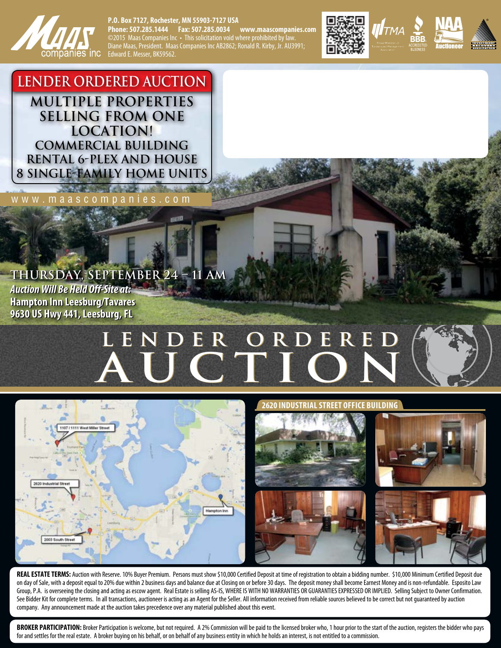

# **P.O. Box 7127, Rochester, MN 55903-7127 USA**

**Phone: 507.285.1444 Fax: 507.285.0034 www.maascompanies.com** ©2015 Maas Companies Inc • This solicitation void where prohibited by law. Diane Maas, President. Maas Companies Inc AB2862; Ronald R. Kirby, Jr. AU3991; Edward E. Messer, BK59562.



**LENDER ORDERED AUCTION Multiple Properties Selling from One Location! Commercial Building Rental 6-Plex and House 8 Single-Family Home Units**

*<u>Andrew Committee Committee Committee Committee Committee Committee Committee Committee Committee Committee Committee*</u> www.maascompanies.com

# **THURSDAY, SEPTEMBER 24 – 11 AM THURSDAY, SEPTEMBER 24 – 11 AM**

*Auction Will Be Held Off-Site at: Auction Will Be Held Off-Site at:* **Hampton Inn Leesburg/Tavares Hampton Inn Leesburg/Tavares 9630 US Hwy 441, Leesburg, FL 9630 US Hwy 441, Leesburg, FL**

# **Lender ORDERed Lender ORDERed AUCTION**



### **2620 INDUSTRIAL STREET OFFICE BUILDING**



REAL ESTATE TERMS: Auction with Reserve. 10% Buyer Premium. Persons must show \$10,000 Certified Deposit at time of registration to obtain a bidding number. \$10,000 Minimum Certified Deposit due on day of Sale, with a deposit equal to 20% due within 2 business days and balance due at Closing on or before 30 days. The deposit money shall become Earnest Money and is non-refundable. Esposito Law Group, P.A. is overseeing the closing and acting as escow agent. Real Estate is selling AS-IS, WHERE IS WITH NO WARRANTIES OR GUARANTIES EXPRESSED OR IMPLIED. Selling Subject to Owner Confirmation. See Bidder Kit for complete terms. In all transactions, auctioneer is acting as an Agent for the Seller. All information received from reliable sources believed to be correct but not guaranteed by auction company. Any announcement made at the auction takes precedence over any material published about this event.

**BROKER PARTICIPATION:** Broker Participation is welcome, but not required. A 2% Commission will be paid to the licensed broker who, 1 hour prior to the start of the auction, registers the bidder who pays for and settles for the real estate. A broker buying on his behalf, or on behalf of any business entity in which he holds an interest, is not entitled to a commission.